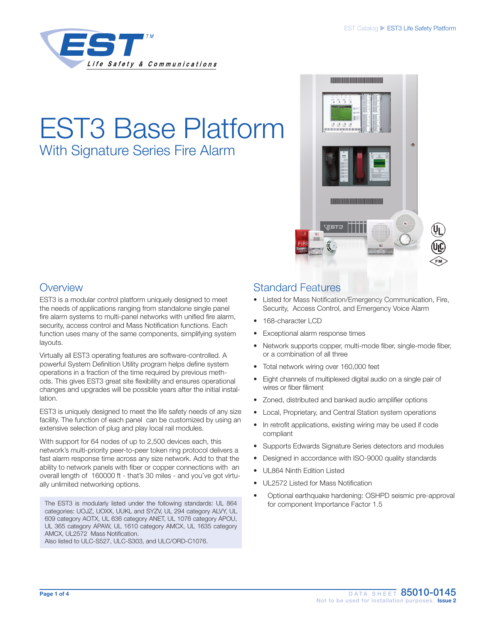

# EST3 Base Platform With Signature Series Fire Alarm



## **Overview**

EST3 is a modular control platform uniquely designed to meet the needs of applications ranging from standalone single panel fire alarm systems to multi-panel networks with unified fire alarm, security, access control and Mass Notification functions. Each function uses many of the same components, simplifying system layouts.

Virtually all EST3 operating features are software-controlled. A powerful System Definition Utility program helps define system operations in a fraction of the time required by previous methods. This gives EST3 great site flexibility and ensures operational changes and upgrades will be possible years after the initial installation.

EST3 is uniquely designed to meet the life safety needs of any size facility. The function of each panel can be customized by using an extensive selection of plug and play local rail modules.

With support for 64 nodes of up to 2,500 devices each, this network's multi-priority peer-to-peer token ring protocol delivers a fast alarm response time across any size network. Add to that the ability to network panels with fiber or copper connections with an overall length of 160000 ft - that's 30 miles - and you've got virtually unlimited networking options.

The EST3 is modularly listed under the following standards: UL 864 categories: UOJZ, UOXX, UUKL and SYZV, UL 294 category ALVY, UL 609 category AOTX, UL 636 category ANET, UL 1076 category APOU, UL 365 category APAW, UL 1610 category AMCX, UL 1635 category AMCX, UL2572 Mass Notification.

Also listed to ULC-S527, ULC-S303, and ULC/ORD-C1076.

# Standard Features

- Listed for Mass Notification/Emergency Communication, Fire, Security, Access Control, and Emergency Voice Alarm
- 168-character LCD
- Exceptional alarm response times
- Network supports copper, multi-mode fiber, single-mode fiber, or a combination of all three
- Total network wiring over 160,000 feet
- Eight channels of multiplexed digital audio on a single pair of wires or fiber filiment
- Zoned, distributed and banked audio amplifier options
- Local, Proprietary, and Central Station system operations
- In retrofit applications, existing wiring may be used if code compliant
- Supports Edwards Signature Series detectors and modules
- Designed in accordance with ISO-9000 quality standards
- UL864 Ninth Edition Listed
- UL2572 Listed for Mass Notification
- Optional earthquake hardening: OSHPD seismic pre-approval for component Importance Factor 1.5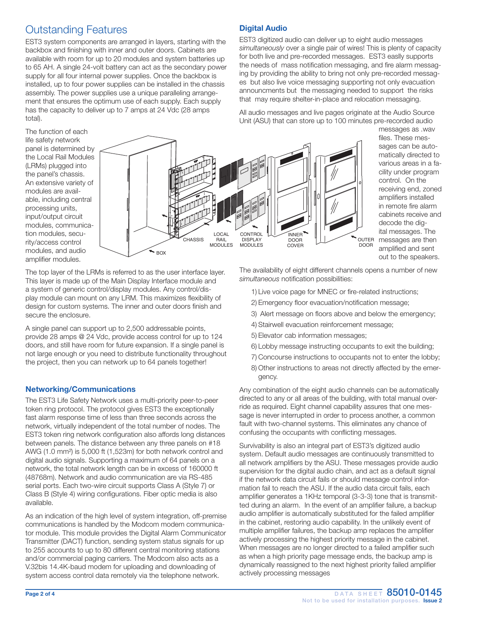## Outstanding Features

EST3 system components are arranged in layers, starting with the backbox and finishing with inner and outer doors. Cabinets are available with room for up to 20 modules and system batteries up to 65 AH. A single 24-volt battery can act as the secondary power supply for all four internal power supplies. Once the backbox is installed, up to four power supplies can be installed in the chassis assembly. The power supplies use a unique paralleling arrangement that ensures the optimum use of each supply. Each supply has the capacity to deliver up to 7 amps at 24 Vdc (28 amps total).

## Digital Audio

EST3 digitized audio can deliver up to eight audio messages *simultaneously* over a single pair of wires! This is plenty of capacity for both live and pre-recorded messages. EST3 easlly supports the needs of mass notification messaging, and fire alarm messaging by providing the ability to bring not only pre-recorded messages but also live voice messaging supporting not only evacuation announcments but the messaging needed to support the risks that may require shelter-in-place and relocation messaging.

All audio messages and live pages originate at the Audio Source Unit (ASU) that can store up to 100 minutes pre-recorded audio

The function of each life safety network panel is determined by the Local Rail Modules (LRMs) plugged into the panel's chassis. An extensive variety of modules are available, including central processing units, input/output circuit modules, communication modules, security/access control modules, and audio amplifier modules.



messages as .wav files. These messages can be automatically directed to various areas in a facility under program control. On the receiving end, zoned amplifiers installed in remote fire alarm cabinets receive and decode the digital messages. The messages are then amplified and sent out to the speakers.

The top layer of the LRMs is referred to as the user interface layer. This layer is made up of the Main Display Interface module and a system of generic control/display modules. Any control/display module can mount on any LRM. This maximizes flexibility of design for custom systems. The inner and outer doors finish and secure the enclosure.

A single panel can support up to 2,500 addressable points, provide 28 amps @ 24 Vdc, provide access control for up to 124 doors, and still have room for future expansion. If a single panel is not large enough or you need to distribute functionality throughout the project, then you can network up to 64 panels together!

## Networking/Communications

The EST3 Life Safety Network uses a multi-priority peer-to-peer token ring protocol. The protocol gives EST3 the exceptionally fast alarm response time of less than three seconds across the network, virtually independent of the total number of nodes. The EST3 token ring network configuration also affords long distances between panels. The distance between any three panels on #18 AWG (1.0 mm²) is 5,000 ft (1,523m) for both network control and digital audio signals. Supporting a maximum of 64 panels on a network, the total network length can be in excess of 160000 ft (48768m). Network and audio communication are via RS-485 serial ports. Each two-wire circuit supports Class A (Style 7) or Class B (Style 4) wiring configurations. Fiber optic media is also available.

As an indication of the high level of system integration, off-premise communications is handled by the Modcom modem communicator module. This module provides the Digital Alarm Communicator Transmitter (DACT) function, sending system status signals for up to 255 accounts to up to 80 different central monitoring stations and/or commercial paging carriers. The Modcom also acts as a V.32bis 14.4K-baud modem for uploading and downloading of system access control data remotely via the telephone network.

The availability of eight different channels opens a number of new *simultaneous* notification possibilities:

- 1) Live voice page for MNEC or fire-related instructions;
- 2) Emergency floor evacuation/notification message;
- 3) Alert message on floors above and below the emergency;
- 4) Stairwell evacuation reinforcement message;
- 5) Elevator cab information messages;
- 6) Lobby message instructing occupants to exit the building;
- 7) Concourse instructions to occupants not to enter the lobby;
- 8) Other instructions to areas not directly affected by the emergency.

Any combination of the eight audio channels can be automatically directed to any or all areas of the building, with total manual override as required. Eight channel capability assures that one message is never interrupted in order to process another, a common fault with two-channel systems. This eliminates any chance of confusing the occupants with conflicting messages.

Survivability is also an integral part of EST3's digitized audio system. Default audio messages are continuously transmitted to all network amplifiers by the ASU. These messages provide audio supervision for the digital audio chain, and act as a default signal if the network data circuit fails or should message control information fail to reach the ASU. If the audio data circuit fails, each amplifier generates a 1KHz temporal (3-3-3) tone that is transmitted during an alarm. In the event of an amplifier failure, a backup audio amplifier is automatically substituted for the failed amplifier in the cabinet, restoring audio capability. In the unlikely event of multiple amplifier failures, the backup amp replaces the amplifier actively processing the highest priority message in the cabinet. When messages are no longer directed to a failed amplifier such as when a high priority page message ends, the backup amp is dynamically reassigned to the next highest priority failed amplifier actively processing messages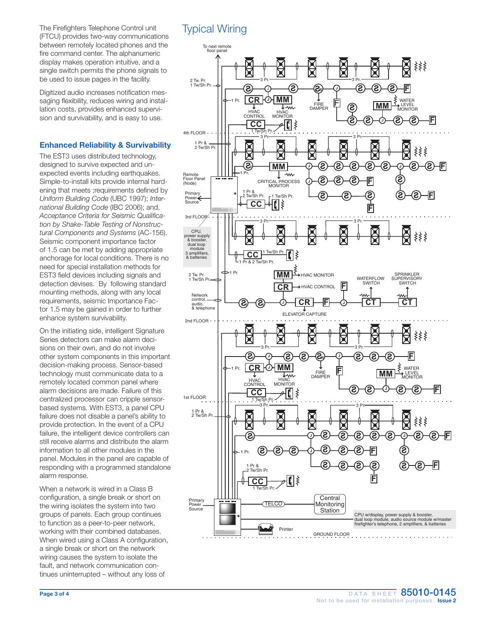The Firefighters Telephone Control unit (FTCU) provides two-way communications between remotely located phones and the fire command center. The alphanumeric display makes operation intuitive, and a single switch permits the phone signals to be used to issue pages in the facility.

Digitized audio increases notification messaging flexibility, reduces wiring and installation costs, provides enhanced supervision and survivability, and is easy to use.

### Enhanced Reliability & Survivability

The EST3 uses distributed technology, designed to survive expected and unexpected events including earthquakes. Simple-to-install kits provide internal hardening that meets ;requirements defined by *Uniform Building Code* (UBC 1997); *International Building Code* (IBC 2006); and, *Acceptance Criteria for Seismic Qualification by Shake-Table Testing of Nonstructural Components and Systems* (AC-156). Seismic component importance factor of 1.5 can be met by adding appropriate anchorage for local conditions. There is no need for special installation methods for EST3 field devices including signals and detection devises. By following standard mounting methods, along with any local requirements, seismic Importance Factor 1.5 may be gained in order to further enhance system survivability.

On the initiating side, intelligent Signature Series detectors can make alarm decisions on their own, and do not involve other system components in this important decision-making process. Sensor-based technology must communicate data to a remotely located common panel where alarm decisions are made. Failure of this centralized processor can cripple sensorbased systems. With EST3, a panel CPU failure does not disable a panel's ability to provide protection. In the event of a CPU failure, the intelligent device controllers can still receive alarms and distribute the alarm information to all other modules in the panel. Modules in the panel are capable of responding with a programmed standalone alarm response.

When a network is wired in a Class B configuration, a single break or short on the wiring isolates the system into two groups of panels. Each group continues to function as a peer-to-peer network, working with their combined databases. When wired using a Class A configuration, a single break or short on the network wiring causes the system to isolate the fault, and network communication continues uninterrupted – without any loss of

# Typical Wiring